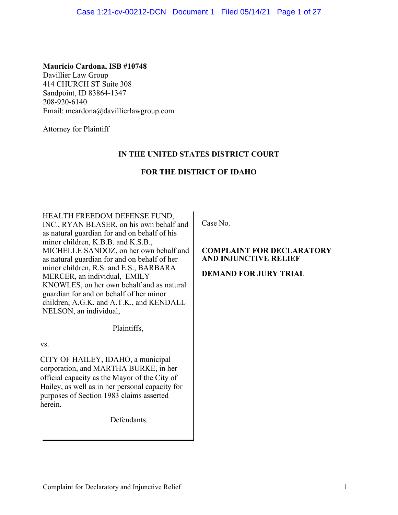# **Mauricio Cardona, ISB #10748**

Davillier Law Group 414 CHURCH ST Suite 308 Sandpoint, ID 83864-1347 208-920-6140 Email: [mcardona@davillierlawgroup.com](mailto:mcardona@davillierlawgroup.com)

Attorney for Plaintiff

# **IN THE UNITED STATES DISTRICT COURT**

# **FOR THE DISTRICT OF IDAHO**

HEALTH FREEDOM DEFENSE FUND,

INC., RYAN BLASER, on his own behalf and as natural guardian for and on behalf of his minor children, K.B.B. and K.S.B., MICHELLE SANDOZ, on her own behalf and as natural guardian for and on behalf of her minor children, R.S. and E.S., BARBARA MERCER, an individual, EMILY KNOWLES, on her own behalf and as natural guardian for and on behalf of her minor children, A.G.K. and A.T.K., and KENDALL NELSON, an individual,

Plaintiffs,

vs.

CITY OF HAILEY, IDAHO, a municipal corporation, and MARTHA BURKE, in her official capacity as the Mayor of the City of Hailey, as well as in her personal capacity for purposes of Section 1983 claims asserted herein.

Defendants.

Case No.

# **COMPLAINT FOR DECLARATORY AND INJUNCTIVE RELIEF**

**DEMAND FOR JURY TRIAL**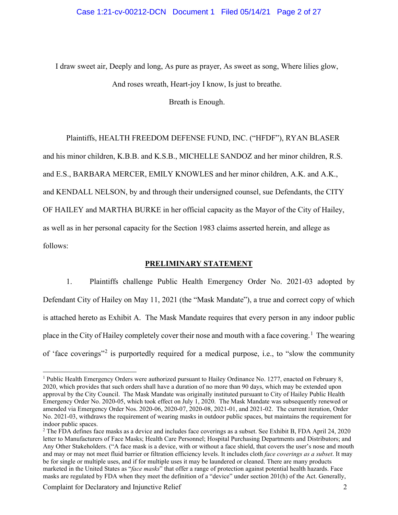I draw sweet air, Deeply and long, As pure as prayer, As sweet as song, Where lilies glow, And roses wreath, Heart-joy I know, Is just to breathe.

Breath is Enough.

Plaintiffs, HEALTH FREEDOM DEFENSE FUND, INC. ("HFDF"), RYAN BLASER and his minor children, K.B.B. and K.S.B., MICHELLE SANDOZ and her minor children, R.S. and E.S., BARBARA MERCER, EMILY KNOWLES and her minor children, A.K. and A.K., and KENDALL NELSON, by and through their undersigned counsel, sue Defendants, the CITY OF HAILEY and MARTHA BURKE in her official capacity as the Mayor of the City of Hailey, as well as in her personal capacity for the Section 1983 claims asserted herein, and allege as follows:

#### **PRELIMINARY STATEMENT**

1. Plaintiffs challenge Public Health Emergency Order No. 2021-03 adopted by Defendant City of Hailey on May 11, 2021 (the "Mask Mandate"), a true and correct copy of which is attached hereto as Exhibit A. The Mask Mandate requires that every person in any indoor public place in the City of Hailey completely cover their nose and mouth with a face covering.<sup>[1](#page-1-0)</sup> The wearing of 'face coverings"[2](#page-1-1) is purportedly required for a medical purpose, i.e., to "slow the community

<span id="page-1-0"></span><sup>&</sup>lt;sup>1</sup> Public Health Emergency Orders were authorized pursuant to Hailey Ordinance No. 1277, enacted on February 8, 2020, which provides that such orders shall have a duration of no more than 90 days, which may be extended upon approval by the City Council. The Mask Mandate was originally instituted pursuant to City of Hailey Public Health Emergency Order No. 2020-05, which took effect on July 1, 2020. The Mask Mandate was subsequently renewed or amended via Emergency Order Nos. 2020-06, 2020-07, 2020-08, 2021-01, and 2021-02. The current iteration, Order No. 2021-03, withdraws the requirement of wearing masks in outdoor public spaces, but maintains the requirement for indoor public spaces.

<span id="page-1-1"></span><sup>2</sup> The FDA defines face masks as a device and includes face coverings as a subset. See Exhibit B, FDA April 24, 2020 letter to Manufacturers of Face Masks; Health Care Personnel; Hospital Purchasing Departments and Distributors; and Any Other Stakeholders. ("A face mask is a device, with or without a face shield, that covers the user's nose and mouth and may or may not meet fluid barrier or filtration efficiency levels. It includes cloth *face coverings as a subset*. It may be for single or multiple uses, and if for multiple uses it may be laundered or cleaned. There are many products marketed in the United States as "*face masks*" that offer a range of protection against potential health hazards. Face masks are regulated by FDA when they meet the definition of a "device" under section 201(h) of the Act. Generally,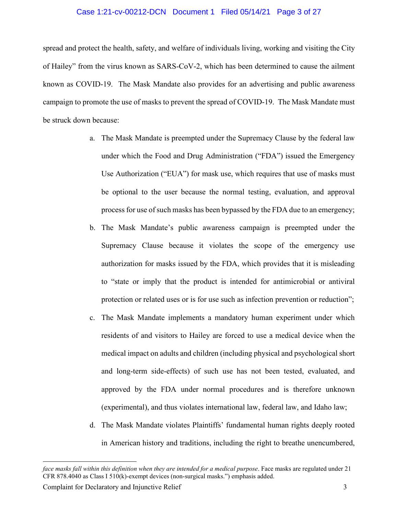#### Case 1:21-cv-00212-DCN Document 1 Filed 05/14/21 Page 3 of 27

spread and protect the health, safety, and welfare of individuals living, working and visiting the City of Hailey" from the virus known as SARS-CoV-2, which has been determined to cause the ailment known as COVID-19. The Mask Mandate also provides for an advertising and public awareness campaign to promote the use of masks to prevent the spread of COVID-19. The Mask Mandate must be struck down because:

- a. The Mask Mandate is preempted under the Supremacy Clause by the federal law under which the Food and Drug Administration ("FDA") issued the Emergency Use Authorization ("EUA") for mask use, which requires that use of masks must be optional to the user because the normal testing, evaluation, and approval process for use of such masks has been bypassed by the FDA due to an emergency;
- b. The Mask Mandate's public awareness campaign is preempted under the Supremacy Clause because it violates the scope of the emergency use authorization for masks issued by the FDA, which provides that it is misleading to "state or imply that the product is intended for antimicrobial or antiviral protection or related uses or is for use such as infection prevention or reduction";
- c. The Mask Mandate implements a mandatory human experiment under which residents of and visitors to Hailey are forced to use a medical device when the medical impact on adults and children (including physical and psychological short and long-term side-effects) of such use has not been tested, evaluated, and approved by the FDA under normal procedures and is therefore unknown (experimental), and thus violates international law, federal law, and Idaho law;
- d. The Mask Mandate violates Plaintiffs' fundamental human rights deeply rooted in American history and traditions, including the right to breathe unencumbered,

*face masks fall within this definition when they are intended for a medical purpose*. Face masks are regulated under 21 CFR 878.4040 as Class I 510(k)-exempt devices (non-surgical masks.") emphasis added.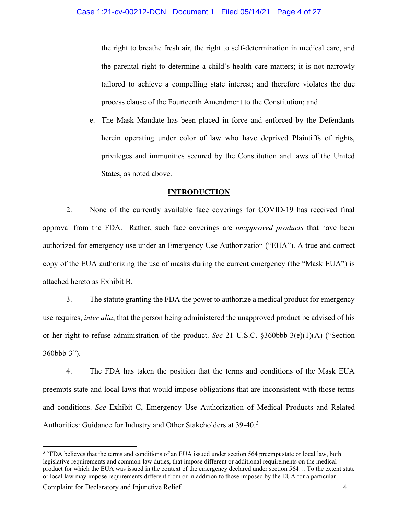the right to breathe fresh air, the right to self-determination in medical care, and the parental right to determine a child's health care matters; it is not narrowly tailored to achieve a compelling state interest; and therefore violates the due process clause of the Fourteenth Amendment to the Constitution; and

e. The Mask Mandate has been placed in force and enforced by the Defendants herein operating under color of law who have deprived Plaintiffs of rights, privileges and immunities secured by the Constitution and laws of the United States, as noted above.

#### **INTRODUCTION**

2. None of the currently available face coverings for COVID-19 has received final approval from the FDA. Rather, such face coverings are *unapproved products* that have been authorized for emergency use under an Emergency Use Authorization ("EUA"). A true and correct copy of the EUA authorizing the use of masks during the current emergency (the "Mask EUA") is attached hereto as Exhibit B.

3. The statute granting the FDA the power to authorize a medical product for emergency use requires, *inter alia*, that the person being administered the unapproved product be advised of his or her right to refuse administration of the product. *See* 21 U.S.C. §360bbb-3(e)(1)(A) ("Section 360bbb-3").

4. The FDA has taken the position that the terms and conditions of the Mask EUA preempts state and local laws that would impose obligations that are inconsistent with those terms and conditions. *See* Exhibit C, Emergency Use Authorization of Medical Products and Related Authorities: Guidance for Industry and Other Stakeholders at [3](#page-3-0)9-40.<sup>3</sup>

<span id="page-3-0"></span><sup>&</sup>lt;sup>3</sup> "FDA believes that the terms and conditions of an EUA issued under section 564 preempt state or local law, both legislative requirements and common-law duties, that impose different or additional requirements on the medical product for which the EUA was issued in the context of the emergency declared under section 564… To the extent state or local law may impose requirements different from or in addition to those imposed by the EUA for a particular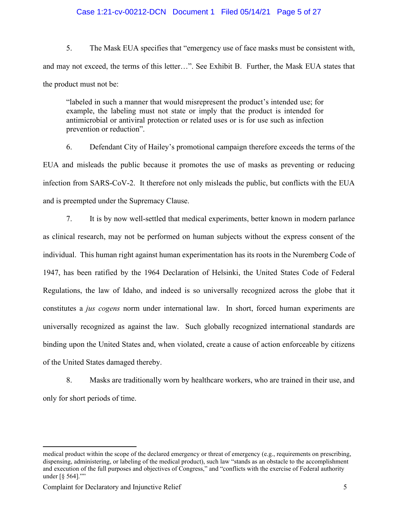#### Case 1:21-cv-00212-DCN Document 1 Filed 05/14/21 Page 5 of 27

5. The Mask EUA specifies that "emergency use of face masks must be consistent with, and may not exceed, the terms of this letter…". See Exhibit B. Further, the Mask EUA states that the product must not be:

"labeled in such a manner that would misrepresent the product's intended use; for example, the labeling must not state or imply that the product is intended for antimicrobial or antiviral protection or related uses or is for use such as infection prevention or reduction".

6. Defendant City of Hailey's promotional campaign therefore exceeds the terms of the EUA and misleads the public because it promotes the use of masks as preventing or reducing infection from SARS-CoV-2. It therefore not only misleads the public, but conflicts with the EUA and is preempted under the Supremacy Clause.

7. It is by now well-settled that medical experiments, better known in modern parlance as clinical research, may not be performed on human subjects without the express consent of the individual. This human right against human experimentation has its roots in the Nuremberg Code of 1947, has been ratified by the 1964 Declaration of Helsinki, the United States Code of Federal Regulations, the law of Idaho, and indeed is so universally recognized across the globe that it constitutes a *jus cogens* norm under international law. In short, forced human experiments are universally recognized as against the law. Such globally recognized international standards are binding upon the United States and, when violated, create a cause of action enforceable by citizens of the United States damaged thereby.

8. Masks are traditionally worn by healthcare workers, who are trained in their use, and only for short periods of time.

medical product within the scope of the declared emergency or threat of emergency (e.g., requirements on prescribing, dispensing, administering, or labeling of the medical product), such law "stands as an obstacle to the accomplishment and execution of the full purposes and objectives of Congress," and "conflicts with the exercise of Federal authority under [§ 564].""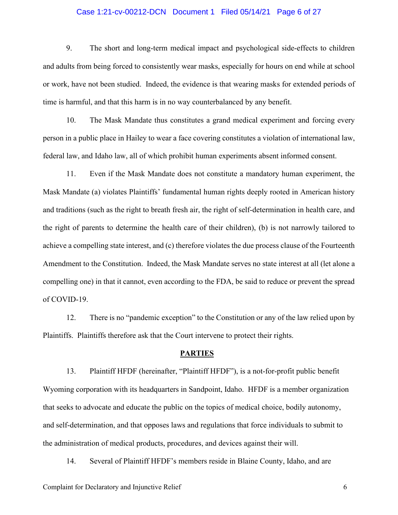#### Case 1:21-cv-00212-DCN Document 1 Filed 05/14/21 Page 6 of 27

9. The short and long-term medical impact and psychological side-effects to children and adults from being forced to consistently wear masks, especially for hours on end while at school or work, have not been studied. Indeed, the evidence is that wearing masks for extended periods of time is harmful, and that this harm is in no way counterbalanced by any benefit.

10. The Mask Mandate thus constitutes a grand medical experiment and forcing every person in a public place in Hailey to wear a face covering constitutes a violation of international law, federal law, and Idaho law, all of which prohibit human experiments absent informed consent.

11. Even if the Mask Mandate does not constitute a mandatory human experiment, the Mask Mandate (a) violates Plaintiffs' fundamental human rights deeply rooted in American history and traditions (such as the right to breath fresh air, the right of self-determination in health care, and the right of parents to determine the health care of their children), (b) is not narrowly tailored to achieve a compelling state interest, and (c) therefore violates the due process clause of the Fourteenth Amendment to the Constitution. Indeed, the Mask Mandate serves no state interest at all (let alone a compelling one) in that it cannot, even according to the FDA, be said to reduce or prevent the spread of COVID-19.

12. There is no "pandemic exception" to the Constitution or any of the law relied upon by Plaintiffs. Plaintiffs therefore ask that the Court intervene to protect their rights.

#### **PARTIES**

13. Plaintiff HFDF (hereinafter, "Plaintiff HFDF"), is a not-for-profit public benefit Wyoming corporation with its headquarters in Sandpoint, Idaho. HFDF is a member organization that seeks to advocate and educate the public on the topics of medical choice, bodily autonomy, and self-determination, and that opposes laws and regulations that force individuals to submit to the administration of medical products, procedures, and devices against their will.

14. Several of Plaintiff HFDF's members reside in Blaine County, Idaho, and are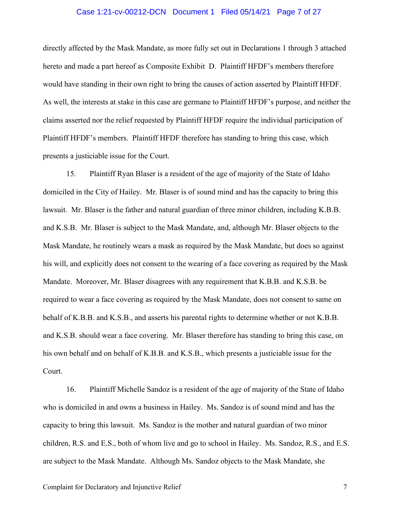#### Case 1:21-cv-00212-DCN Document 1 Filed 05/14/21 Page 7 of 27

directly affected by the Mask Mandate, as more fully set out in Declarations 1 through 3 attached hereto and made a part hereof as Composite Exhibit D. Plaintiff HFDF's members therefore would have standing in their own right to bring the causes of action asserted by Plaintiff HFDF. As well, the interests at stake in this case are germane to Plaintiff HFDF's purpose, and neither the claims asserted nor the relief requested by Plaintiff HFDF require the individual participation of Plaintiff HFDF's members. Plaintiff HFDF therefore has standing to bring this case, which presents a justiciable issue for the Court.

15. Plaintiff Ryan Blaser is a resident of the age of majority of the State of Idaho domiciled in the City of Hailey. Mr. Blaser is of sound mind and has the capacity to bring this lawsuit. Mr. Blaser is the father and natural guardian of three minor children, including K.B.B. and K.S.B. Mr. Blaser is subject to the Mask Mandate, and, although Mr. Blaser objects to the Mask Mandate, he routinely wears a mask as required by the Mask Mandate, but does so against his will, and explicitly does not consent to the wearing of a face covering as required by the Mask Mandate. Moreover, Mr. Blaser disagrees with any requirement that K.B.B. and K.S.B. be required to wear a face covering as required by the Mask Mandate, does not consent to same on behalf of K.B.B. and K.S.B., and asserts his parental rights to determine whether or not K.B.B. and K.S.B. should wear a face covering. Mr. Blaser therefore has standing to bring this case, on his own behalf and on behalf of K.B.B. and K.S.B., which presents a justiciable issue for the Court.

16. Plaintiff Michelle Sandoz is a resident of the age of majority of the State of Idaho who is domiciled in and owns a business in Hailey. Ms. Sandoz is of sound mind and has the capacity to bring this lawsuit. Ms. Sandoz is the mother and natural guardian of two minor children, R.S. and E.S., both of whom live and go to school in Hailey. Ms. Sandoz, R.S., and E.S. are subject to the Mask Mandate. Although Ms. Sandoz objects to the Mask Mandate, she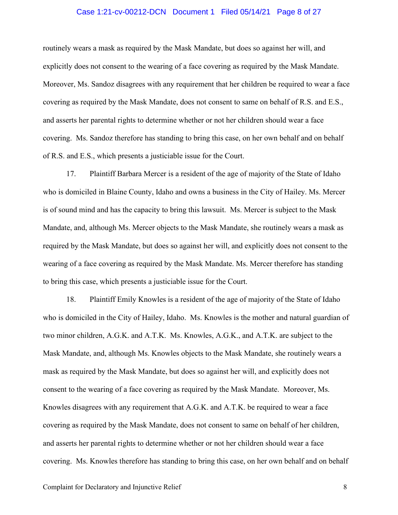#### Case 1:21-cv-00212-DCN Document 1 Filed 05/14/21 Page 8 of 27

routinely wears a mask as required by the Mask Mandate, but does so against her will, and explicitly does not consent to the wearing of a face covering as required by the Mask Mandate. Moreover, Ms. Sandoz disagrees with any requirement that her children be required to wear a face covering as required by the Mask Mandate, does not consent to same on behalf of R.S. and E.S., and asserts her parental rights to determine whether or not her children should wear a face covering. Ms. Sandoz therefore has standing to bring this case, on her own behalf and on behalf of R.S. and E.S., which presents a justiciable issue for the Court.

17. Plaintiff Barbara Mercer is a resident of the age of majority of the State of Idaho who is domiciled in Blaine County, Idaho and owns a business in the City of Hailey. Ms. Mercer is of sound mind and has the capacity to bring this lawsuit. Ms. Mercer is subject to the Mask Mandate, and, although Ms. Mercer objects to the Mask Mandate, she routinely wears a mask as required by the Mask Mandate, but does so against her will, and explicitly does not consent to the wearing of a face covering as required by the Mask Mandate. Ms. Mercer therefore has standing to bring this case, which presents a justiciable issue for the Court.

18. Plaintiff Emily Knowles is a resident of the age of majority of the State of Idaho who is domiciled in the City of Hailey, Idaho. Ms. Knowles is the mother and natural guardian of two minor children, A.G.K. and A.T.K. Ms. Knowles, A.G.K., and A.T.K. are subject to the Mask Mandate, and, although Ms. Knowles objects to the Mask Mandate, she routinely wears a mask as required by the Mask Mandate, but does so against her will, and explicitly does not consent to the wearing of a face covering as required by the Mask Mandate. Moreover, Ms. Knowles disagrees with any requirement that A.G.K. and A.T.K. be required to wear a face covering as required by the Mask Mandate, does not consent to same on behalf of her children, and asserts her parental rights to determine whether or not her children should wear a face covering. Ms. Knowles therefore has standing to bring this case, on her own behalf and on behalf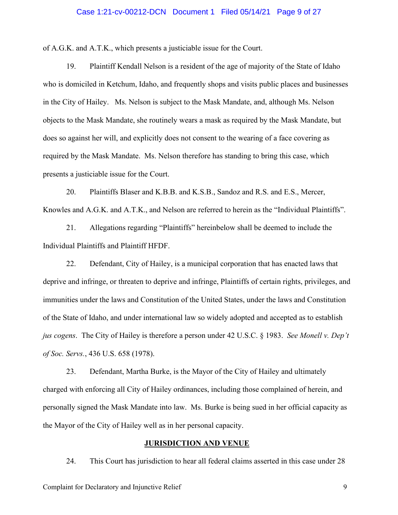#### Case 1:21-cv-00212-DCN Document 1 Filed 05/14/21 Page 9 of 27

of A.G.K. and A.T.K., which presents a justiciable issue for the Court.

19. Plaintiff Kendall Nelson is a resident of the age of majority of the State of Idaho who is domiciled in Ketchum, Idaho, and frequently shops and visits public places and businesses in the City of Hailey. Ms. Nelson is subject to the Mask Mandate, and, although Ms. Nelson objects to the Mask Mandate, she routinely wears a mask as required by the Mask Mandate, but does so against her will, and explicitly does not consent to the wearing of a face covering as required by the Mask Mandate. Ms. Nelson therefore has standing to bring this case, which presents a justiciable issue for the Court.

20. Plaintiffs Blaser and K.B.B. and K.S.B., Sandoz and R.S. and E.S., Mercer, Knowles and A.G.K. and A.T.K., and Nelson are referred to herein as the "Individual Plaintiffs".

21. Allegations regarding "Plaintiffs" hereinbelow shall be deemed to include the Individual Plaintiffs and Plaintiff HFDF.

22. Defendant, City of Hailey, is a municipal corporation that has enacted laws that deprive and infringe, or threaten to deprive and infringe, Plaintiffs of certain rights, privileges, and immunities under the laws and Constitution of the United States, under the laws and Constitution of the State of Idaho, and under international law so widely adopted and accepted as to establish *jus cogens*. The City of Hailey is therefore a person under 42 U.S.C. § 1983. *See Monell v. Dep't of Soc. Servs.*, 436 U.S. 658 (1978).

23. Defendant, Martha Burke, is the Mayor of the City of Hailey and ultimately charged with enforcing all City of Hailey ordinances, including those complained of herein, and personally signed the Mask Mandate into law. Ms. Burke is being sued in her official capacity as the Mayor of the City of Hailey well as in her personal capacity.

#### **JURISDICTION AND VENUE**

24. This Court has jurisdiction to hear all federal claims asserted in this case under 28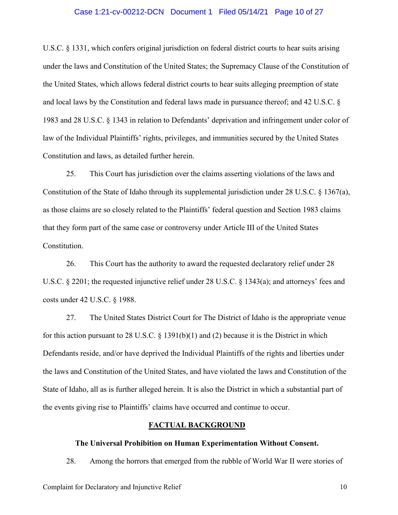#### Case 1:21-cv-00212-DCN Document 1 Filed 05/14/21 Page 10 of 27

U.S.C. § 1331, which confers original jurisdiction on federal district courts to hear suits arising under the laws and Constitution of the United States; the Supremacy Clause of the Constitution of the United States, which allows federal district courts to hear suits alleging preemption of state and local laws by the Constitution and federal laws made in pursuance thereof; and 42 U.S.C. § 1983 and 28 U.S.C. § 1343 in relation to Defendants' deprivation and infringement under color of law of the Individual Plaintiffs' rights, privileges, and immunities secured by the United States Constitution and laws, as detailed further herein.

25. This Court has jurisdiction over the claims asserting violations of the laws and Constitution of the State of Idaho through its supplemental jurisdiction under 28 U.S.C.  $\S$  1367(a), as those claims are so closely related to the Plaintiffs' federal question and Section 1983 claims that they form part of the same case or controversy under Article III of the United States Constitution.

26. This Court has the authority to award the requested declaratory relief under 28 U.S.C. § 2201; the requested injunctive relief under 28 U.S.C. § 1343(a); and attorneys' fees and costs under 42 U.S.C. § 1988.

27. The United States District Court for The District of Idaho is the appropriate venue for this action pursuant to 28 U.S.C. § 1391(b)(1) and (2) because it is the District in which Defendants reside, and/or have deprived the Individual Plaintiffs of the rights and liberties under the laws and Constitution of the United States, and have violated the laws and Constitution of the State of Idaho, all as is further alleged herein. It is also the District in which a substantial part of the events giving rise to Plaintiffs' claims have occurred and continue to occur.

#### **FACTUAL BACKGROUND**

#### **The Universal Prohibition on Human Experimentation Without Consent.**

28. Among the horrors that emerged from the rubble of World War II were stories of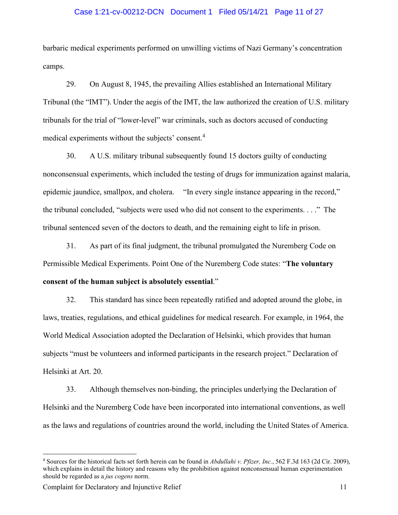#### Case 1:21-cv-00212-DCN Document 1 Filed 05/14/21 Page 11 of 27

barbaric medical experiments performed on unwilling victims of Nazi Germany's concentration camps.

29. On August 8, 1945, the prevailing Allies established an International Military Tribunal (the "IMT"). Under the aegis of the IMT, the law authorized the creation of U.S. military tribunals for the trial of "lower-level" war criminals, such as doctors accused of conducting medical experiments without the subjects' consent.[4](#page-10-0)

30. A U.S. military tribunal subsequently found 15 doctors guilty of conducting nonconsensual experiments, which included the testing of drugs for immunization against malaria, epidemic jaundice, smallpox, and cholera. "In every single instance appearing in the record," the tribunal concluded, "subjects were used who did not consent to the experiments. . . ." The tribunal sentenced seven of the doctors to death, and the remaining eight to life in prison.

31. As part of its final judgment, the tribunal promulgated the Nuremberg Code on Permissible Medical Experiments. Point One of the Nuremberg Code states: "**The voluntary consent of the human subject is absolutely essential**."

32. This standard has since been repeatedly ratified and adopted around the globe, in laws, treaties, regulations, and ethical guidelines for medical research. For example, in 1964, the World Medical Association adopted the Declaration of Helsinki, which provides that human subjects "must be volunteers and informed participants in the research project." Declaration of Helsinki at Art. 20.

33. Although themselves non-binding, the principles underlying the Declaration of Helsinki and the Nuremberg Code have been incorporated into international conventions, as well as the laws and regulations of countries around the world, including the United States of America.

<span id="page-10-0"></span><sup>4</sup> Sources for the historical facts set forth herein can be found in *Abdullahi v. Pfizer, Inc.*, 562 F.3d 163 (2d Cir. 2009), which explains in detail the history and reasons why the prohibition against nonconsensual human experimentation should be regarded as a *jus cogens* norm.

Complaint for Declaratory and Injunctive Relief 11 and 12 and 11 and 11 and 11 and 11 and 11 and 11 and 11 and 11 and 11 and 11 and 11 and 11 and 12 and 12 and 12 and 12 and 12 and 12 and 12 and 12 and 12 and 12 and 12 and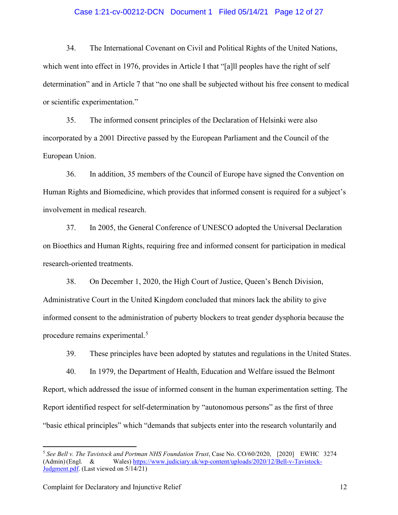#### Case 1:21-cv-00212-DCN Document 1 Filed 05/14/21 Page 12 of 27

34. The International Covenant on Civil and Political Rights of the United Nations, which went into effect in 1976, provides in Article I that "[a]ll peoples have the right of self determination" and in Article 7 that "no one shall be subjected without his free consent to medical or scientific experimentation."

35. The informed consent principles of the Declaration of Helsinki were also incorporated by a 2001 Directive passed by the European Parliament and the Council of the European Union.

36. In addition, 35 members of the Council of Europe have signed the Convention on Human Rights and Biomedicine, which provides that informed consent is required for a subject's involvement in medical research.

37. In 2005, the General Conference of UNESCO adopted the Universal Declaration on Bioethics and Human Rights, requiring free and informed consent for participation in medical research-oriented treatments.

38. On December 1, 2020, the High Court of Justice, Queen's Bench Division, Administrative Court in the United Kingdom concluded that minors lack the ability to give informed consent to the administration of puberty blockers to treat gender dysphoria because the procedure remains experimental.<sup>[5](#page-11-0)</sup>

39. These principles have been adopted by statutes and regulations in the United States.

40. In 1979, the Department of Health, Education and Welfare issued the Belmont Report, which addressed the issue of informed consent in the human experimentation setting. The Report identified respect for self-determination by "autonomous persons" as the first of three "basic ethical principles" which "demands that subjects enter into the research voluntarily and

<span id="page-11-0"></span><sup>5</sup> *See Bell v. The Tavistock and Portman NHS Foundation Trust*, Case No. CO/60/2020, [2020] EWHC 3274 (Admin)(Engl. & Wales) <https://www.judiciary.uk/wp-content/uploads/2020/12/Bell-v-Tavistock->[Judgment.pdf.](https://www.judiciary.uk/wp-content/uploads/2020/12/Bell-v-Tavistock-Judgment.pdf) (Last viewed on 5/14/21)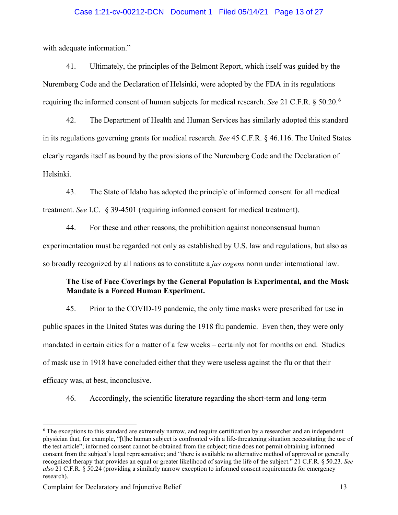#### Case 1:21-cv-00212-DCN Document 1 Filed 05/14/21 Page 13 of 27

with adequate information."

41. Ultimately, the principles of the Belmont Report, which itself was guided by the Nuremberg Code and the Declaration of Helsinki, were adopted by the FDA in its regulations requiring the informed consent of human subjects for medical research. *See* 21 C.F.R. § 50.20.[6](#page-12-0)

42. The Department of Health and Human Services has similarly adopted this standard in its regulations governing grants for medical research. *See* 45 C.F.R. § 46.116. The United States clearly regards itself as bound by the provisions of the Nuremberg Code and the Declaration of Helsinki.

43. The State of Idaho has adopted the principle of informed consent for all medical treatment. *See* I.C. § 39-4501 (requiring informed consent for medical treatment).

44. For these and other reasons, the prohibition against nonconsensual human experimentation must be regarded not only as established by U.S. law and regulations, but also as so broadly recognized by all nations as to constitute a *jus cogens* norm under international law.

# **The Use of Face Coverings by the General Population is Experimental, and the Mask Mandate is a Forced Human Experiment.**

45. Prior to the COVID-19 pandemic, the only time masks were prescribed for use in public spaces in the United States was during the 1918 flu pandemic. Even then, they were only mandated in certain cities for a matter of a few weeks – certainly not for months on end. Studies of mask use in 1918 have concluded either that they were useless against the flu or that their efficacy was, at best, inconclusive.

46. Accordingly, the scientific literature regarding the short-term and long-term

<span id="page-12-0"></span><sup>6</sup> The exceptions to this standard are extremely narrow, and require certification by a researcher and an independent physician that, for example, "[t]he human subject is confronted with a life-threatening situation necessitating the use of the test article"; informed consent cannot be obtained from the subject; time does not permit obtaining informed consent from the subject's legal representative; and "there is available no alternative method of approved or generally recognized therapy that provides an equal or greater likelihood of saving the life of the subject." 21 C.F.R. § 50.23. *See also* 21 C.F.R. § 50.24 (providing a similarly narrow exception to informed consent requirements for emergency research).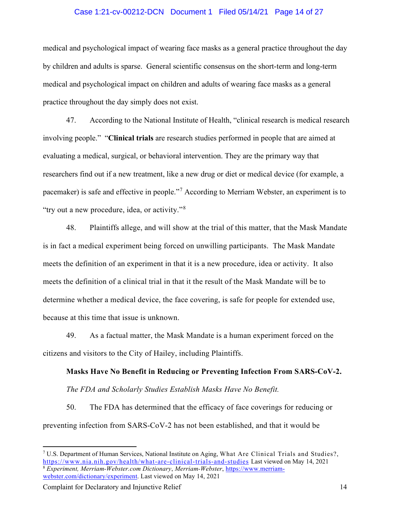#### Case 1:21-cv-00212-DCN Document 1 Filed 05/14/21 Page 14 of 27

medical and psychological impact of wearing face masks as a general practice throughout the day by children and adults is sparse. General scientific consensus on the short-term and long-term medical and psychological impact on children and adults of wearing face masks as a general practice throughout the day simply does not exist.

47. According to the National Institute of Health, "clinical research is medical research involving people." "**Clinical trials** are research studies performed in people that are aimed at evaluating a medical, surgical, or behavioral intervention. They are the primary way that researchers find out if a new treatment, like a new drug or diet or medical device (for example, a pacemaker) is safe and effective in people."[7](#page-13-0) According to Merriam Webster, an experiment is to "try out a new procedure, idea, or activity."[8](#page-13-1)

48. Plaintiffs allege, and will show at the trial of this matter, that the Mask Mandate is in fact a medical experiment being forced on unwilling participants. The Mask Mandate meets the definition of an experiment in that it is a new procedure, idea or activity. It also meets the definition of a clinical trial in that it the result of the Mask Mandate will be to determine whether a medical device, the face covering, is safe for people for extended use, because at this time that issue is unknown.

49. As a factual matter, the Mask Mandate is a human experiment forced on the citizens and visitors to the City of Hailey, including Plaintiffs.

# **Masks Have No Benefit in Reducing or Preventing Infection From SARS-CoV-2.** *The FDA and Scholarly Studies Establish Masks Have No Benefit.*

50. The FDA has determined that the efficacy of face coverings for reducing or preventing infection from SARS-CoV-2 has not been established, and that it would be

<span id="page-13-1"></span><span id="page-13-0"></span><sup>7</sup> U.S. Department of Human Services, National Institute on Aging, What Are Clinical Trials and Studies?, <https://www.nia.nih.gov/health/what-are-clinical-trials-and-studies> Last viewed on May 14, 2021 <sup>8</sup> *Experiment, Merriam-Webster.com Dictionary*, *Merriam-Webster*, [https://www.merriam](https://www.merriam-webster.com/dictionary/experiment)[webster.com/dictionary/experiment.](https://www.merriam-webster.com/dictionary/experiment) Last viewed on May 14, 2021

Complaint for Declaratory and Injunctive Relief 14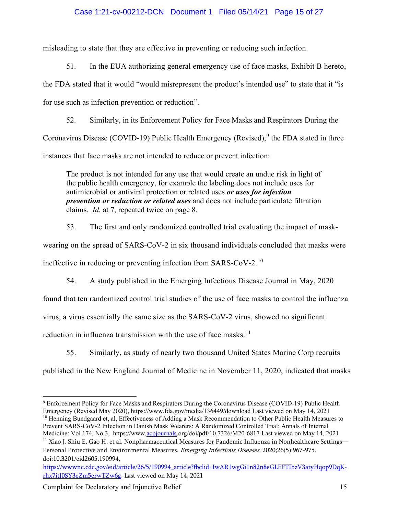# Case 1:21-cv-00212-DCN Document 1 Filed 05/14/21 Page 15 of 27

misleading to state that they are effective in preventing or reducing such infection.

51. In the EUA authorizing general emergency use of face masks, Exhibit B hereto, the FDA stated that it would "would misrepresent the product's intended use" to state that it "is for use such as infection prevention or reduction".

52. Similarly, in its Enforcement Policy for Face Masks and Respirators During the Coronavirus Disease (COVID-1[9](#page-14-0)) Public Health Emergency (Revised),  $9$  the FDA stated in three instances that face masks are not intended to reduce or prevent infection:

The product is not intended for any use that would create an undue risk in light of the public health emergency, for example the labeling does not include uses for antimicrobial or antiviral protection or related uses *or uses for infection prevention or reduction or related uses* and does not include particulate filtration claims. *Id.* at 7, repeated twice on page 8.

53. The first and only randomized controlled trial evaluating the impact of maskwearing on the spread of SARS-CoV-2 in six thousand individuals concluded that masks were ineffective in reducing or preventing infection from SARS-CoV-2.[10](#page-14-1)

54. A study published in the Emerging Infectious Disease Journal in May, 2020 found that ten randomized control trial studies of the use of face masks to control the influenza virus, a virus essentially the same size as the SARS-CoV-2 virus, showed no significant reduction in influenza transmission with the use of face masks.<sup>[11](#page-14-2)</sup>

55. Similarly, as study of nearly two thousand United States Marine Corp recruits published in the New England Journal of Medicine in November 11, 2020, indicated that masks

<span id="page-14-1"></span>Prevent SARS-CoV-2 Infection in Danish Mask Wearers: A Randomized Controlled Trial: Annals of Internal Medicine: Vol 174, No 3, https://ww[w.acpjournals.](https://www.acpjournals.org/doi/pdf/10.7326/M20-6817)org/doi/pdf/10.7326/M20-6817 Last viewed on May 14, 2021

<span id="page-14-0"></span><sup>9</sup> Enforcement Policy for Face Masks and Respirators During the Coronavirus Disease (COVID-19) Public Health Emergency (Revised May 2020), https://www.fda.gov/media/136449/download Last viewed on May 14, 2021 <sup>10</sup> Henning Bundgaard et, al, Effectiveness of Adding a Mask Recommendation to Other Public Health Measures to

<span id="page-14-2"></span> $11$  Xiao J, Shiu E, Gao H, et al. Nonpharmaceutical Measures for Pandemic Influenza in Nonhealthcare Settings— Personal Protective and Environmental Measures. Emerging Infectious Diseases. 2020;26(5):967-975. doi:10.3201/eid2605.190994,

[https://wwwnc.cdc.gov/eid/article/26/5/190994\\_article?fbclid=IwAR1wgGi1n82n8eGLEFTIbzV3atyHqop9DqK](https://wwwnc.cdc.gov/eid/article/26/5/190994_article?fbclid=IwAR1wgGi1n82n8eGLEFTIbzV3atyHqop9DqK-rhx7itJ0SY3eZm5erwTZw6g)[rhx7itJ0SY3eZm5erwTZw6g,](https://wwwnc.cdc.gov/eid/article/26/5/190994_article?fbclid=IwAR1wgGi1n82n8eGLEFTIbzV3atyHqop9DqK-rhx7itJ0SY3eZm5erwTZw6g) Last viewed on May 14, 2021

Complaint for Declaratory and Injunctive Relief 15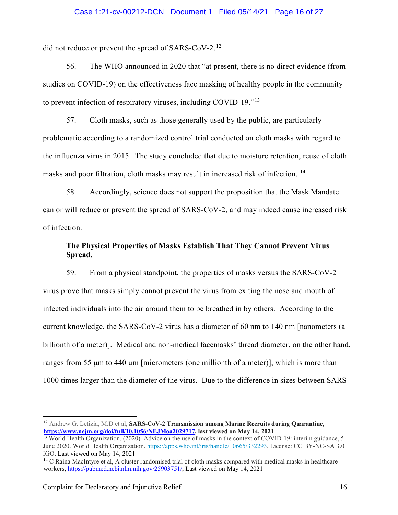#### Case 1:21-cv-00212-DCN Document 1 Filed 05/14/21 Page 16 of 27

did not reduce or prevent the spread of SARS-CoV-2.[12](#page-15-0)

56. The WHO announced in 2020 that "at present, there is no direct evidence (from studies on COVID-19) on the effectiveness face masking of healthy people in the community to prevent infection of respiratory viruses, including COVID-19."<sup>[13](#page-15-1)</sup>

57. Cloth masks, such as those generally used by the public, are particularly problematic according to a randomized control trial conducted on cloth masks with regard to the influenza virus in 2015. The study concluded that due to moisture retention, reuse of cloth masks and poor filtration, cloth masks may result in increased risk of infection. [14](#page-15-2)

58. Accordingly, science does not support the proposition that the Mask Mandate can or will reduce or prevent the spread of SARS-CoV-2, and may indeed cause increased risk of infection.

# **The Physical Properties of Masks Establish That They Cannot Prevent Virus Spread.**

59. From a physical standpoint, the properties of masks versus the SARS-CoV-2 virus prove that masks simply cannot prevent the virus from exiting the nose and mouth of infected individuals into the air around them to be breathed in by others. According to the current knowledge, the SARS-CoV-2 virus has a diameter of 60 nm to 140 nm [nanometers (a billionth of a meter)]. Medical and non-medical facemasks' thread diameter, on the other hand, ranges from 55 μm to 440 μm [micrometers (one millionth of a meter)], which is more than 1000 times larger than the diameter of the virus. Due to the difference in sizes between SARS-

<span id="page-15-0"></span><sup>12</sup> Andrew G. Letizia, M.D et al, **SARS-CoV-2 Transmission among Marine Recruits during Quarantine, [https://www.nejm.org/doi/full/10.1056/NEJMoa2029717,](https://www.nejm.org/doi/full/10.1056/NEJMoa2029717) last viewed on May 14, 2021**

<span id="page-15-1"></span><sup>&</sup>lt;sup>13</sup> World Health Organization. (2020). Advice on the use of masks in the context of COVID-19: interim guidance, 5 June 2020. World Health Organization. [https://apps.who.int/iris/handle/10665/332293.](https://apps.who.int/iris/handle/10665/332293) License: CC BY-NC-SA 3.0 IGO. Last viewed on May 14, 2021

<span id="page-15-2"></span>**<sup>14</sup>** C Raina MacIntyre et al, A cluster randomised trial of cloth masks compared with medical masks in healthcare workers, [https://pubmed.ncbi.nlm.nih.gov/25903751/,](https://pubmed.ncbi.nlm.nih.gov/25903751/) Last viewed on May 14, 2021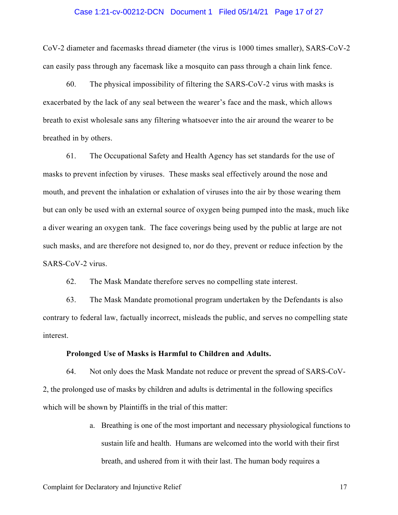#### Case 1:21-cv-00212-DCN Document 1 Filed 05/14/21 Page 17 of 27

CoV-2 diameter and facemasks thread diameter (the virus is 1000 times smaller), SARS-CoV-2 can easily pass through any facemask like a mosquito can pass through a chain link fence.

60. The physical impossibility of filtering the SARS-CoV-2 virus with masks is exacerbated by the lack of any seal between the wearer's face and the mask, which allows breath to exist wholesale sans any filtering whatsoever into the air around the wearer to be breathed in by others.

61. The Occupational Safety and Health Agency has set standards for the use of masks to prevent infection by viruses. These masks seal effectively around the nose and mouth, and prevent the inhalation or exhalation of viruses into the air by those wearing them but can only be used with an external source of oxygen being pumped into the mask, much like a diver wearing an oxygen tank. The face coverings being used by the public at large are not such masks, and are therefore not designed to, nor do they, prevent or reduce infection by the SARS-CoV-2 virus.

62. The Mask Mandate therefore serves no compelling state interest.

63. The Mask Mandate promotional program undertaken by the Defendants is also contrary to federal law, factually incorrect, misleads the public, and serves no compelling state interest.

#### **Prolonged Use of Masks is Harmful to Children and Adults.**

64. Not only does the Mask Mandate not reduce or prevent the spread of SARS-CoV-2, the prolonged use of masks by children and adults is detrimental in the following specifics which will be shown by Plaintiffs in the trial of this matter:

> a. Breathing is one of the most important and necessary physiological functions to sustain life and health. Humans are welcomed into the world with their first breath, and ushered from it with their last. The human body requires a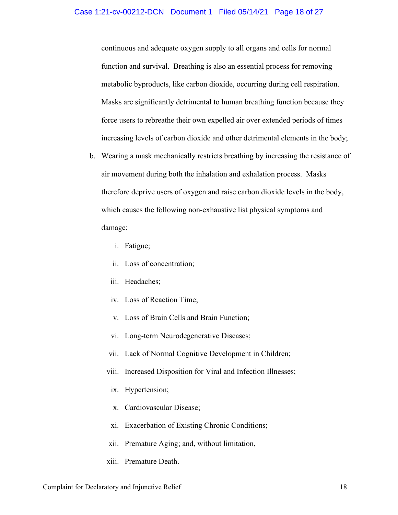continuous and adequate oxygen supply to all organs and cells for normal function and survival. Breathing is also an essential process for removing metabolic byproducts, like carbon dioxide, occurring during cell respiration. Masks are significantly detrimental to human breathing function because they force users to rebreathe their own expelled air over extended periods of times increasing levels of carbon dioxide and other detrimental elements in the body;

- b. Wearing a mask mechanically restricts breathing by increasing the resistance of air movement during both the inhalation and exhalation process. Masks therefore deprive users of oxygen and raise carbon dioxide levels in the body, which causes the following non-exhaustive list physical symptoms and damage:
	- i. Fatigue;
	- ii. Loss of concentration;
	- iii. Headaches;
	- iv. Loss of Reaction Time;
	- v. Loss of Brain Cells and Brain Function;
	- vi. Long-term Neurodegenerative Diseases;
	- vii. Lack of Normal Cognitive Development in Children;
	- viii. Increased Disposition for Viral and Infection Illnesses;
	- ix. Hypertension;
	- x. Cardiovascular Disease;
	- xi. Exacerbation of Existing Chronic Conditions;
	- xii. Premature Aging; and, without limitation,
	- xiii. Premature Death.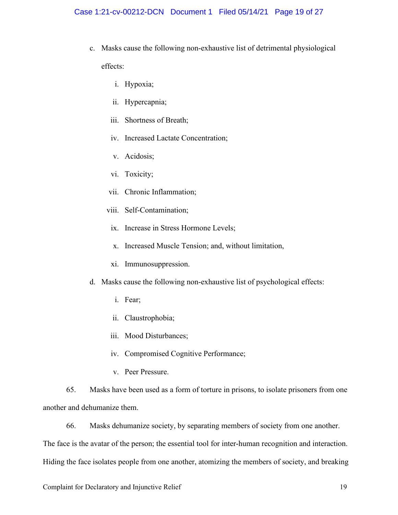- c. Masks cause the following non-exhaustive list of detrimental physiological effects:
	- i. Hypoxia;
	- ii. Hypercapnia;
	- iii. Shortness of Breath;
	- iv. Increased Lactate Concentration;
	- v. Acidosis;
	- vi. Toxicity;
	- vii. Chronic Inflammation;
	- viii. Self-Contamination;
		- ix. Increase in Stress Hormone Levels;
		- x. Increased Muscle Tension; and, without limitation,
	- xi. Immunosuppression.
- d. Masks cause the following non-exhaustive list of psychological effects:
	- i. Fear;
	- ii. Claustrophobia;
	- iii. Mood Disturbances;
	- iv. Compromised Cognitive Performance;
	- v. Peer Pressure.

65. Masks have been used as a form of torture in prisons, to isolate prisoners from one another and dehumanize them.

66. Masks dehumanize society, by separating members of society from one another.

The face is the avatar of the person; the essential tool for inter-human recognition and interaction.

Hiding the face isolates people from one another, atomizing the members of society, and breaking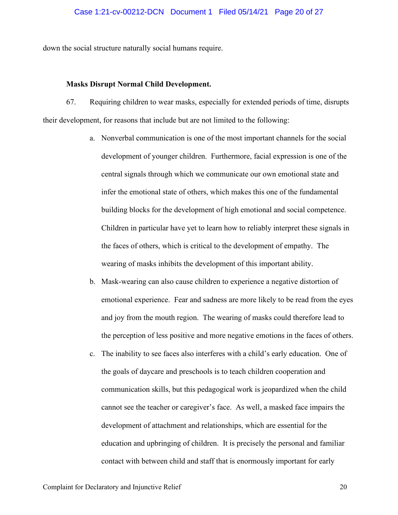down the social structure naturally social humans require.

#### **Masks Disrupt Normal Child Development.**

67. Requiring children to wear masks, especially for extended periods of time, disrupts their development, for reasons that include but are not limited to the following:

- a. Nonverbal communication is one of the most important channels for the social development of younger children. Furthermore, facial expression is one of the central signals through which we communicate our own emotional state and infer the emotional state of others, which makes this one of the fundamental building blocks for the development of high emotional and social competence. Children in particular have yet to learn how to reliably interpret these signals in the faces of others, which is critical to the development of empathy. The wearing of masks inhibits the development of this important ability.
- b. Mask-wearing can also cause children to experience a negative distortion of emotional experience. Fear and sadness are more likely to be read from the eyes and joy from the mouth region. The wearing of masks could therefore lead to the perception of less positive and more negative emotions in the faces of others.
- c. The inability to see faces also interferes with a child's early education. One of the goals of daycare and preschools is to teach children cooperation and communication skills, but this pedagogical work is jeopardized when the child cannot see the teacher or caregiver's face. As well, a masked face impairs the development of attachment and relationships, which are essential for the education and upbringing of children. It is precisely the personal and familiar contact with between child and staff that is enormously important for early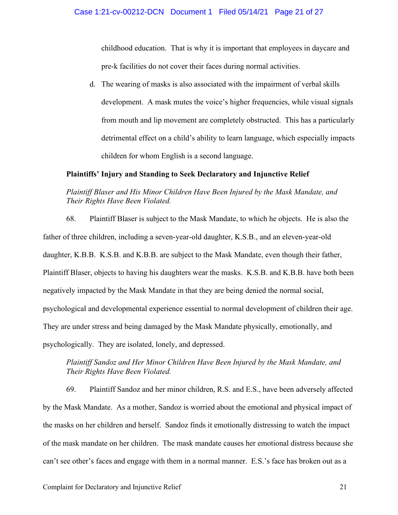childhood education. That is why it is important that employees in daycare and pre-k facilities do not cover their faces during normal activities.

d. The wearing of masks is also associated with the impairment of verbal skills development. A mask mutes the voice's higher frequencies, while visual signals from mouth and lip movement are completely obstructed. This has a particularly detrimental effect on a child's ability to learn language, which especially impacts children for whom English is a second language.

#### **Plaintiffs' Injury and Standing to Seek Declaratory and Injunctive Relief**

# *Plaintiff Blaser and His Minor Children Have Been Injured by the Mask Mandate, and Their Rights Have Been Violated.*

68. Plaintiff Blaser is subject to the Mask Mandate, to which he objects. He is also the father of three children, including a seven-year-old daughter, K.S.B., and an eleven-year-old daughter, K.B.B. K.S.B. and K.B.B. are subject to the Mask Mandate, even though their father, Plaintiff Blaser, objects to having his daughters wear the masks. K.S.B. and K.B.B. have both been negatively impacted by the Mask Mandate in that they are being denied the normal social, psychological and developmental experience essential to normal development of children their age. They are under stress and being damaged by the Mask Mandate physically, emotionally, and psychologically. They are isolated, lonely, and depressed.

# *Plaintiff Sandoz and Her Minor Children Have Been Injured by the Mask Mandate, and Their Rights Have Been Violated.*

69. Plaintiff Sandoz and her minor children, R.S. and E.S., have been adversely affected by the Mask Mandate. As a mother, Sandoz is worried about the emotional and physical impact of the masks on her children and herself. Sandoz finds it emotionally distressing to watch the impact of the mask mandate on her children. The mask mandate causes her emotional distress because she can't see other's faces and engage with them in a normal manner. E.S.'s face has broken out as a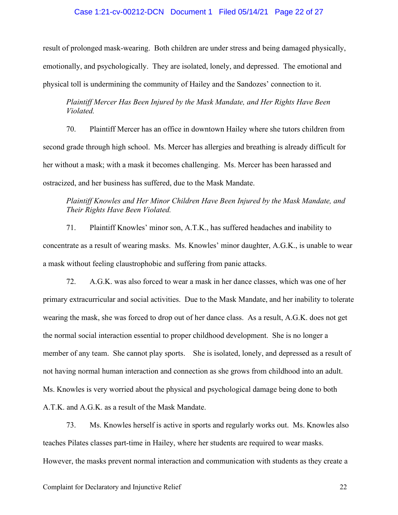#### Case 1:21-cv-00212-DCN Document 1 Filed 05/14/21 Page 22 of 27

result of prolonged mask-wearing. Both children are under stress and being damaged physically, emotionally, and psychologically. They are isolated, lonely, and depressed. The emotional and physical toll is undermining the community of Hailey and the Sandozes' connection to it.

## *Plaintiff Mercer Has Been Injured by the Mask Mandate, and Her Rights Have Been Violated.*

70. Plaintiff Mercer has an office in downtown Hailey where she tutors children from second grade through high school. Ms. Mercer has allergies and breathing is already difficult for her without a mask; with a mask it becomes challenging. Ms. Mercer has been harassed and ostracized, and her business has suffered, due to the Mask Mandate.

# *Plaintiff Knowles and Her Minor Children Have Been Injured by the Mask Mandate, and Their Rights Have Been Violated.*

71. Plaintiff Knowles' minor son, A.T.K., has suffered headaches and inability to concentrate as a result of wearing masks. Ms. Knowles' minor daughter, A.G.K., is unable to wear a mask without feeling claustrophobic and suffering from panic attacks.

72. A.G.K. was also forced to wear a mask in her dance classes, which was one of her primary extracurricular and social activities. Due to the Mask Mandate, and her inability to tolerate wearing the mask, she was forced to drop out of her dance class. As a result, A.G.K. does not get the normal social interaction essential to proper childhood development. She is no longer a member of any team. She cannot play sports. She is isolated, lonely, and depressed as a result of not having normal human interaction and connection as she grows from childhood into an adult. Ms. Knowles is very worried about the physical and psychological damage being done to both A.T.K. and A.G.K. as a result of the Mask Mandate.

73. Ms. Knowles herself is active in sports and regularly works out. Ms. Knowles also teaches Pilates classes part-time in Hailey, where her students are required to wear masks. However, the masks prevent normal interaction and communication with students as they create a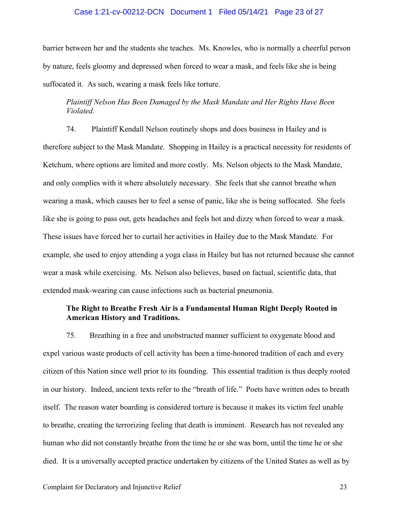#### Case 1:21-cv-00212-DCN Document 1 Filed 05/14/21 Page 23 of 27

barrier between her and the students she teaches. Ms. Knowles, who is normally a cheerful person by nature, feels gloomy and depressed when forced to wear a mask, and feels like she is being suffocated it. As such, wearing a mask feels like torture.

# *Plaintiff Nelson Has Been Damaged by the Mask Mandate and Her Rights Have Been Violated.*

74. Plaintiff Kendall Nelson routinely shops and does business in Hailey and is therefore subject to the Mask Mandate. Shopping in Hailey is a practical necessity for residents of Ketchum, where options are limited and more costly. Ms. Nelson objects to the Mask Mandate, and only complies with it where absolutely necessary. She feels that she cannot breathe when wearing a mask, which causes her to feel a sense of panic, like she is being suffocated. She feels like she is going to pass out, gets headaches and feels hot and dizzy when forced to wear a mask. These issues have forced her to curtail her activities in Hailey due to the Mask Mandate. For example, she used to enjoy attending a yoga class in Hailey but has not returned because she cannot wear a mask while exercising. Ms. Nelson also believes, based on factual, scientific data, that extended mask-wearing can cause infections such as bacterial pneumonia.

## **The Right to Breathe Fresh Air is a Fundamental Human Right Deeply Rooted in American History and Traditions.**

75. Breathing in a free and unobstructed manner sufficient to oxygenate blood and expel various waste products of cell activity has been a time-honored tradition of each and every citizen of this Nation since well prior to its founding. This essential tradition is thus deeply rooted in our history. Indeed, ancient texts refer to the "breath of life." Poets have written odes to breath itself. The reason water boarding is considered torture is because it makes its victim feel unable to breathe, creating the terrorizing feeling that death is imminent. Research has not revealed any human who did not constantly breathe from the time he or she was born, until the time he or she died. It is a universally accepted practice undertaken by citizens of the United States as well as by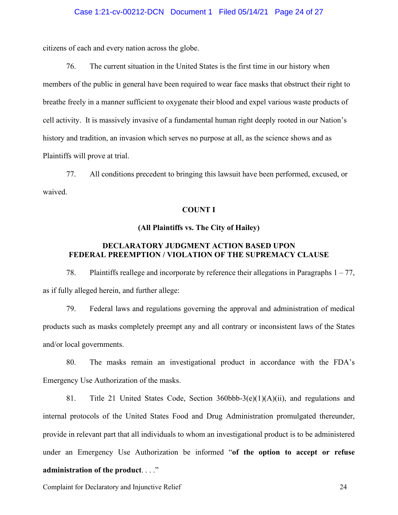citizens of each and every nation across the globe.

76. The current situation in the United States is the first time in our history when members of the public in general have been required to wear face masks that obstruct their right to breathe freely in a manner sufficient to oxygenate their blood and expel various waste products of cell activity. It is massively invasive of a fundamental human right deeply rooted in our Nation's history and tradition, an invasion which serves no purpose at all, as the science shows and as Plaintiffs will prove at trial.

77. All conditions precedent to bringing this lawsuit have been performed, excused, or waived.

#### **COUNT I**

#### **(All Plaintiffs vs. The City of Hailey)**

# **DECLARATORY JUDGMENT ACTION BASED UPON FEDERAL PREEMPTION / VIOLATION OF THE SUPREMACY CLAUSE**

78. Plaintiffs reallege and incorporate by reference their allegations in Paragraphs 1 – 77, as if fully alleged herein, and further allege:

79. Federal laws and regulations governing the approval and administration of medical products such as masks completely preempt any and all contrary or inconsistent laws of the States and/or local governments.

80. The masks remain an investigational product in accordance with the FDA's Emergency Use Authorization of the masks.

81. Title 21 United States Code, Section 360bbb-3(e)(1)(A)(ii), and regulations and internal protocols of the United States Food and Drug Administration promulgated thereunder, provide in relevant part that all individuals to whom an investigational product is to be administered under an Emergency Use Authorization be informed "**of the option to accept or refuse administration of the product**. . . ."

Complaint for Declaratory and Injunctive Relief 24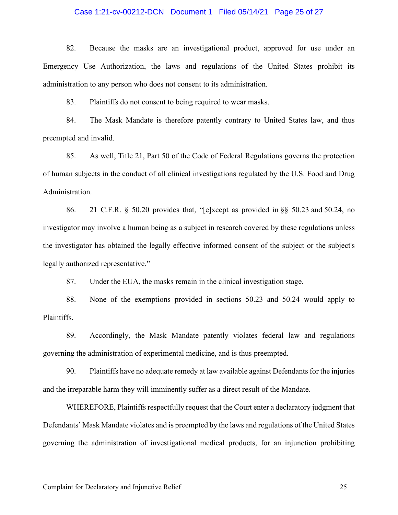#### Case 1:21-cv-00212-DCN Document 1 Filed 05/14/21 Page 25 of 27

82. Because the masks are an investigational product, approved for use under an Emergency Use Authorization, the laws and regulations of the United States prohibit its administration to any person who does not consent to its administration.

83. Plaintiffs do not consent to being required to wear masks.

84. The Mask Mandate is therefore patently contrary to United States law, and thus preempted and invalid.

85. As well, Title 21, Part 50 of the Code of Federal Regulations governs the protection of human subjects in the conduct of all clinical investigations regulated by the U.S. Food and Drug Administration.

86. 21 C.F.R. § 50.20 provides that, "[e]xcept as provided in [§§ 50.23](https://1.next.westlaw.com/Link/Document/FullText?findType=L&pubNum=1000547&cite=21CFRS50.23&originatingDoc=N05BBB3608CA511D9A785E455AAD0CC92&refType=VP&originationContext=document&transitionType=DocumentItem&contextData=(sc.UserEnteredCitation)) and [50.24,](https://1.next.westlaw.com/Link/Document/FullText?findType=L&pubNum=1000547&cite=21CFRS50.24&originatingDoc=N05BBB3608CA511D9A785E455AAD0CC92&refType=VP&originationContext=document&transitionType=DocumentItem&contextData=(sc.UserEnteredCitation)) no investigator may involve a human being as a subject in research covered by these regulations unless the investigator has obtained the legally effective informed consent of the subject or the subject's legally authorized representative."

87. Under the EUA, the masks remain in the clinical investigation stage.

88. None of the exemptions provided in sections 50.23 and 50.24 would apply to Plaintiffs.

89. Accordingly, the Mask Mandate patently violates federal law and regulations governing the administration of experimental medicine, and is thus preempted.

90. Plaintiffs have no adequate remedy at law available against Defendants for the injuries and the irreparable harm they will imminently suffer as a direct result of the Mandate.

WHEREFORE, Plaintiffs respectfully request that the Court enter a declaratory judgment that Defendants' Mask Mandate violates and is preempted by the laws and regulations of the United States governing the administration of investigational medical products, for an injunction prohibiting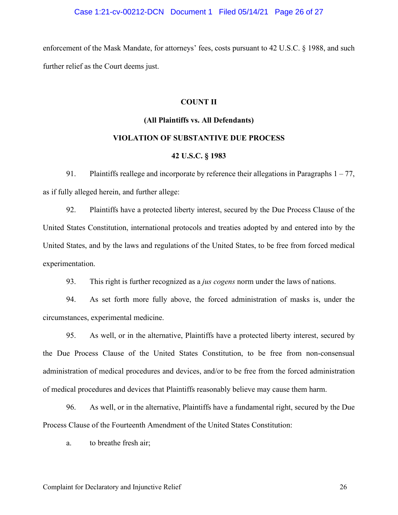enforcement of the Mask Mandate, for attorneys' fees, costs pursuant to 42 U.S.C. § 1988, and such further relief as the Court deems just.

#### **COUNT II**

# **(All Plaintiffs vs. All Defendants)**

# **VIOLATION OF SUBSTANTIVE DUE PROCESS 42 U.S.C. § 1983**

# 91. Plaintiffs reallege and incorporate by reference their allegations in Paragraphs  $1 - 77$ , as if fully alleged herein, and further allege:

92. Plaintiffs have a protected liberty interest, secured by the Due Process Clause of the United States Constitution, international protocols and treaties adopted by and entered into by the United States, and by the laws and regulations of the United States, to be free from forced medical experimentation.

93. This right is further recognized as a *jus cogens* norm under the laws of nations.

94. As set forth more fully above, the forced administration of masks is, under the circumstances, experimental medicine.

95. As well, or in the alternative, Plaintiffs have a protected liberty interest, secured by the Due Process Clause of the United States Constitution, to be free from non-consensual administration of medical procedures and devices, and/or to be free from the forced administration of medical procedures and devices that Plaintiffs reasonably believe may cause them harm.

96. As well, or in the alternative, Plaintiffs have a fundamental right, secured by the Due Process Clause of the Fourteenth Amendment of the United States Constitution:

a. to breathe fresh air;